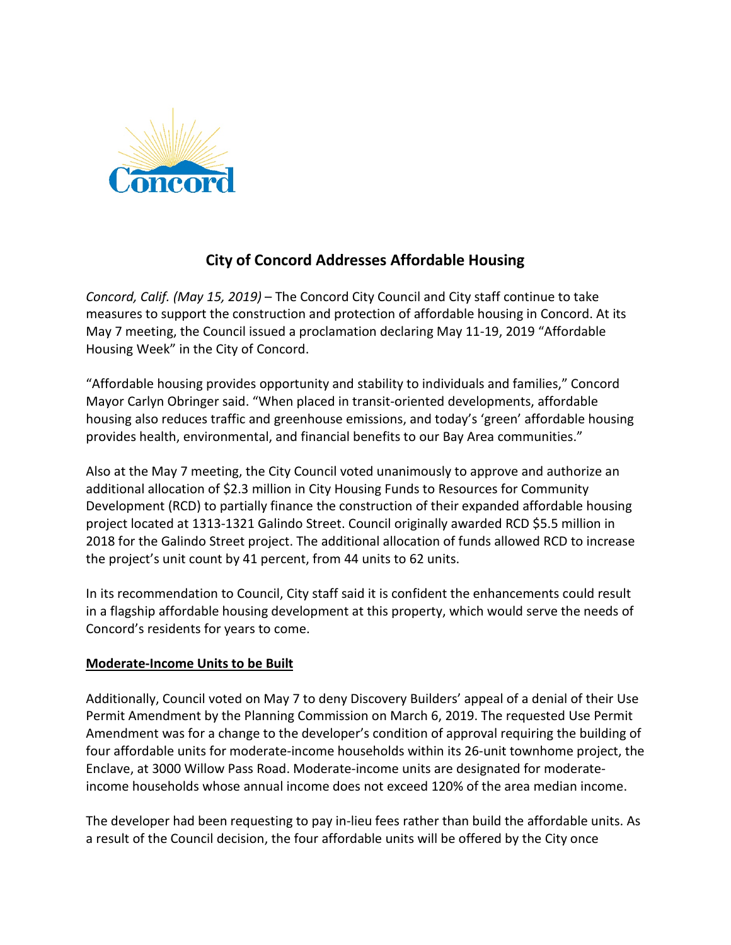

## **City of Concord Addresses Affordable Housing**

*Concord, Calif. (May 15, 2019)* – The Concord City Council and City staff continue to take measures to support the construction and protection of affordable housing in Concord. At its May 7 meeting, the Council issued a proclamation declaring May 11-19, 2019 "Affordable Housing Week" in the City of Concord.

"Affordable housing provides opportunity and stability to individuals and families," Concord Mayor Carlyn Obringer said. "When placed in transit-oriented developments, affordable housing also reduces traffic and greenhouse emissions, and today's 'green' affordable housing provides health, environmental, and financial benefits to our Bay Area communities."

Also at the May 7 meeting, the City Council voted unanimously to approve and authorize an additional allocation of \$2.3 million in City Housing Funds to Resources for Community Development (RCD) to partially finance the construction of their expanded affordable housing project located at 1313-1321 Galindo Street. Council originally awarded RCD \$5.5 million in 2018 for the Galindo Street project. The additional allocation of funds allowed RCD to increase the project's unit count by 41 percent, from 44 units to 62 units.

In its recommendation to Council, City staff said it is confident the enhancements could result in a flagship affordable housing development at this property, which would serve the needs of Concord's residents for years to come.

## **Moderate-Income Units to be Built**

Additionally, Council voted on May 7 to deny Discovery Builders' appeal of a denial of their Use Permit Amendment by the Planning Commission on March 6, 2019. The requested Use Permit Amendment was for a change to the developer's condition of approval requiring the building of four affordable units for moderate-income households within its 26-unit townhome project, the Enclave, at 3000 Willow Pass Road. Moderate-income units are designated for moderateincome households whose annual income does not exceed 120% of the area median income.

The developer had been requesting to pay in-lieu fees rather than build the affordable units. As a result of the Council decision, the four affordable units will be offered by the City once